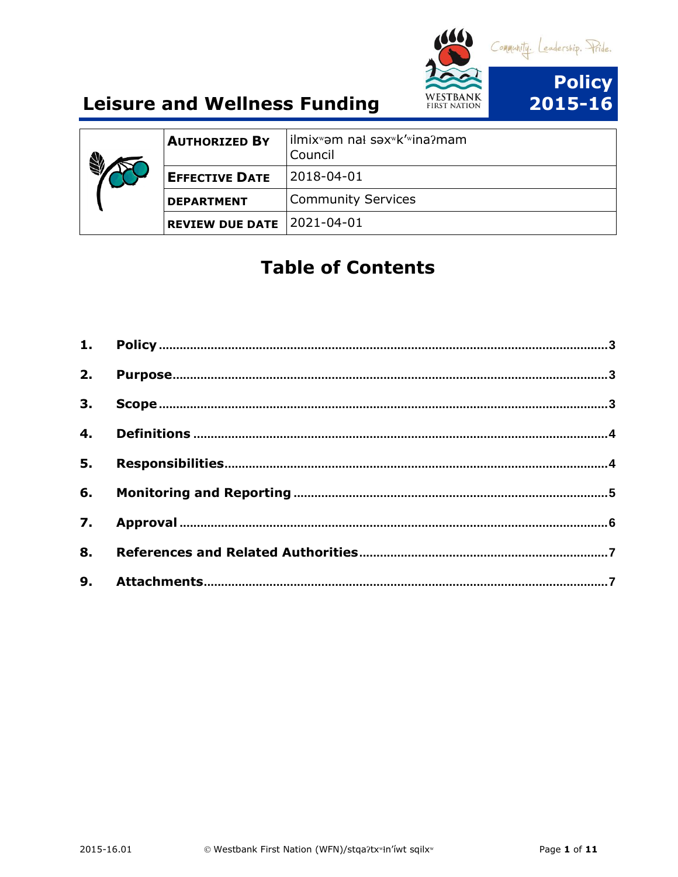

| <b>AUTHORIZED BY</b>   | lilmixʷəm nal səxʷk'ʷina?mam<br>Council |
|------------------------|-----------------------------------------|
| <b>EFFECTIVE DATE</b>  | 2018-04-01                              |
| <b>DEPARTMENT</b>      | <b>Community Services</b>               |
| <b>REVIEW DUE DATE</b> | $12021 - 04 - 01$                       |

## **Table of Contents**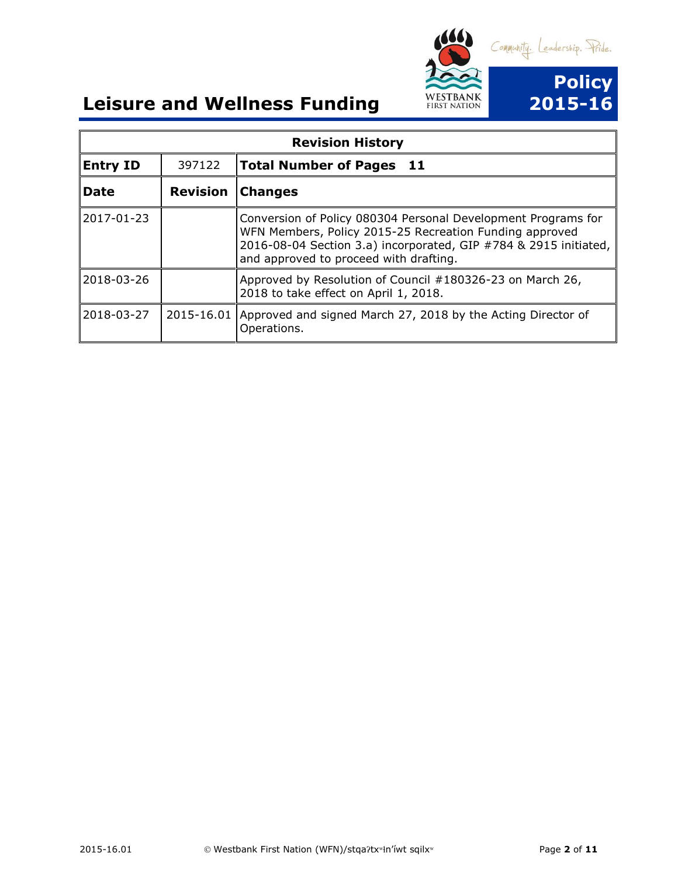

| <b>Revision History</b> |                 |                                                                                                                                                                                                                                        |
|-------------------------|-----------------|----------------------------------------------------------------------------------------------------------------------------------------------------------------------------------------------------------------------------------------|
| <b>Entry ID</b>         | 397122          | <b>Total Number of Pages 11</b>                                                                                                                                                                                                        |
| <b>Date</b>             | <b>Revision</b> | <b>Changes</b>                                                                                                                                                                                                                         |
| 2017-01-23              |                 | Conversion of Policy 080304 Personal Development Programs for<br>WFN Members, Policy 2015-25 Recreation Funding approved<br>2016-08-04 Section 3.a) incorporated, GIP #784 & 2915 initiated,<br>and approved to proceed with drafting. |
| 2018-03-26              |                 | Approved by Resolution of Council #180326-23 on March 26,<br>2018 to take effect on April 1, 2018.                                                                                                                                     |
| 2018-03-27              | 2015-16.01      | Approved and signed March 27, 2018 by the Acting Director of<br>Operations.                                                                                                                                                            |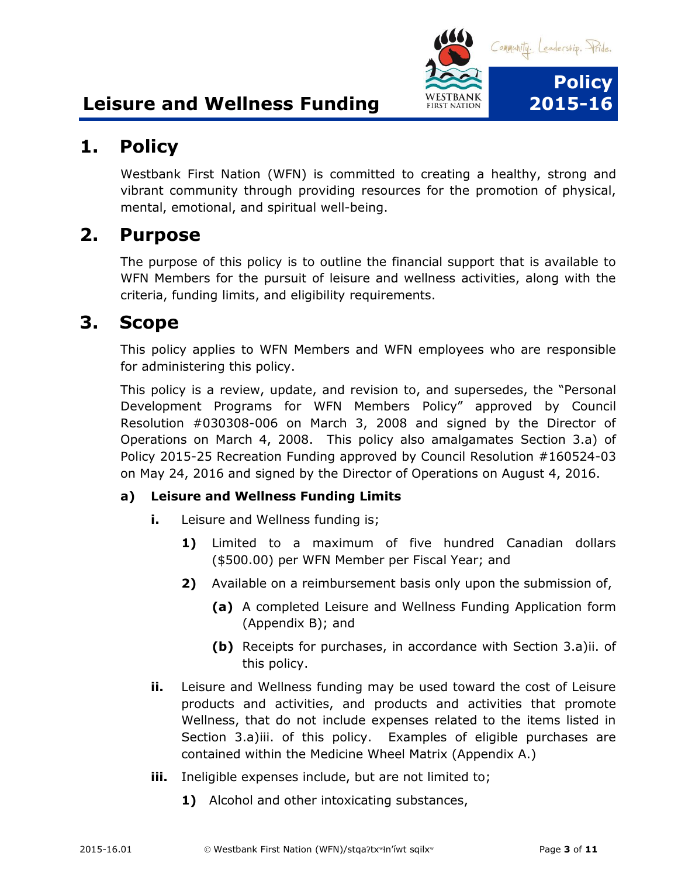

## <span id="page-2-0"></span>**1. Policy**

Westbank First Nation (WFN) is committed to creating a healthy, strong and vibrant community through providing resources for the promotion of physical, mental, emotional, and spiritual well-being.

### <span id="page-2-1"></span>**2. Purpose**

The purpose of this policy is to outline the financial support that is available to WFN Members for the pursuit of leisure and wellness activities, along with the criteria, funding limits, and eligibility requirements.

#### <span id="page-2-2"></span>**3. Scope**

This policy applies to WFN Members and WFN employees who are responsible for administering this policy.

This policy is a review, update, and revision to, and supersedes, the "Personal Development Programs for WFN Members Policy" approved by Council Resolution #030308-006 on March 3, 2008 and signed by the Director of Operations on March 4, 2008. This policy also amalgamates Section 3.a) of Policy 2015-25 Recreation Funding approved by Council Resolution #160524-03 on May 24, 2016 and signed by the Director of Operations on August 4, 2016.

#### **a) Leisure and Wellness Funding Limits**

- **i.** Leisure and Wellness funding is;
	- **1)** Limited to a maximum of five hundred Canadian dollars (\$500.00) per WFN Member per Fiscal Year; and
	- **2)** Available on a reimbursement basis only upon the submission of,
		- **(a)** A completed Leisure and Wellness Funding Application form (Appendix B); and
		- **(b)** Receipts for purchases, in accordance with Section 3.a)ii. of this policy.
- **ii.** Leisure and Wellness funding may be used toward the cost of Leisure products and activities, and products and activities that promote Wellness, that do not include expenses related to the items listed in Section 3.a)iii. of this policy. Examples of eligible purchases are contained within the Medicine Wheel Matrix (Appendix A.)
- **iii.** Ineligible expenses include, but are not limited to;
	- **1)** Alcohol and other intoxicating substances,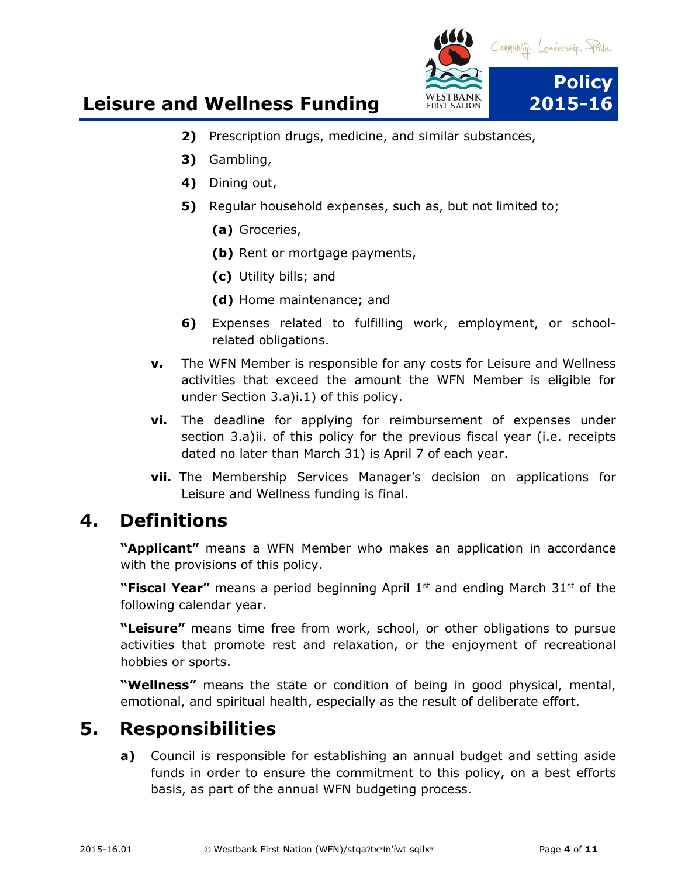

- **2)** Prescription drugs, medicine, and similar substances,
- **3)** Gambling,
- **4)** Dining out,
- **5)** Regular household expenses, such as, but not limited to;
	- **(a)** Groceries,
	- **(b)** Rent or mortgage payments,
	- **(c)** Utility bills; and
	- **(d)** Home maintenance; and
- **6)** Expenses related to fulfilling work, employment, or schoolrelated obligations.
- **v.** The WFN Member is responsible for any costs for Leisure and Wellness activities that exceed the amount the WFN Member is eligible for under Section 3.a)i.1) of this policy.
- **vi.** The deadline for applying for reimbursement of expenses under section 3.a)ii. of this policy for the previous fiscal year (i.e. receipts dated no later than March 31) is April 7 of each year.
- **vii.** The Membership Services Manager's decision on applications for Leisure and Wellness funding is final.

### <span id="page-3-0"></span>**4. Definitions**

**"Applicant"** means a WFN Member who makes an application in accordance with the provisions of this policy.

**"Fiscal Year"** means a period beginning April 1<sup>st</sup> and ending March 31<sup>st</sup> of the following calendar year.

**"Leisure"** means time free from work, school, or other obligations to pursue activities that promote rest and relaxation, or the enjoyment of recreational hobbies or sports.

**"Wellness"** means the state or condition of being in good physical, mental, emotional, and spiritual health, especially as the result of deliberate effort.

## <span id="page-3-1"></span>**5. Responsibilities**

**a)** Council is responsible for establishing an annual budget and setting aside funds in order to ensure the commitment to this policy, on a best efforts basis, as part of the annual WFN budgeting process.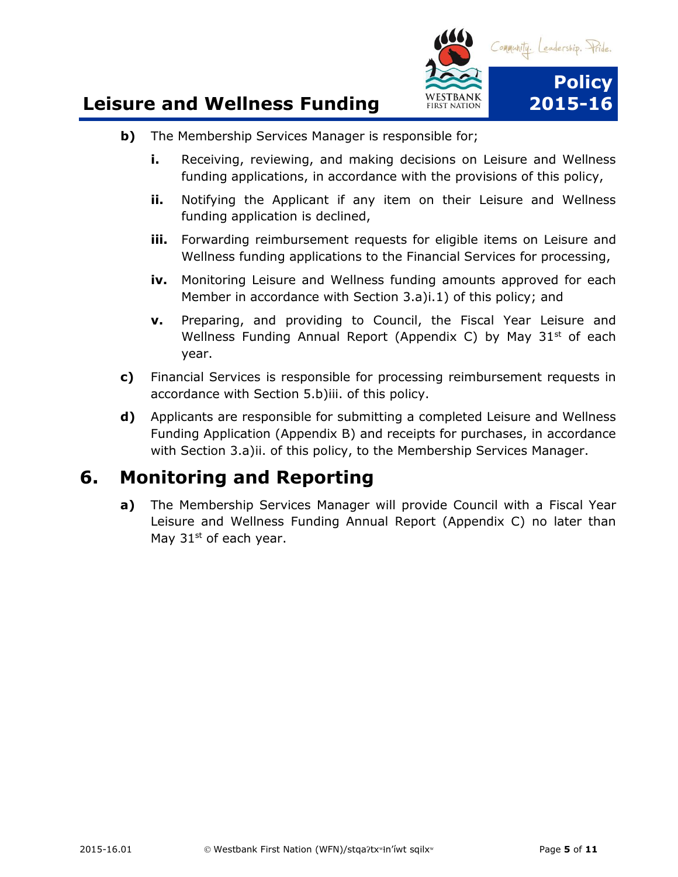

- **b)** The Membership Services Manager is responsible for;
	- **i.** Receiving, reviewing, and making decisions on Leisure and Wellness funding applications, in accordance with the provisions of this policy,
	- **ii.** Notifying the Applicant if any item on their Leisure and Wellness funding application is declined,
	- **iii.** Forwarding reimbursement requests for eligible items on Leisure and Wellness funding applications to the Financial Services for processing,
	- **iv.** Monitoring Leisure and Wellness funding amounts approved for each Member in accordance with Section 3.a)i.1) of this policy; and
	- **v.** Preparing, and providing to Council, the Fiscal Year Leisure and Wellness Funding Annual Report (Appendix C) by May  $31<sup>st</sup>$  of each year.
- **c)** Financial Services is responsible for processing reimbursement requests in accordance with Section 5.b)iii. of this policy.
- **d)** Applicants are responsible for submitting a completed Leisure and Wellness Funding Application (Appendix B) and receipts for purchases, in accordance with Section 3.a)ii. of this policy, to the Membership Services Manager.

## <span id="page-4-0"></span>**6. Monitoring and Reporting**

<span id="page-4-1"></span>**a)** The Membership Services Manager will provide Council with a Fiscal Year Leisure and Wellness Funding Annual Report (Appendix C) no later than May  $31<sup>st</sup>$  of each year.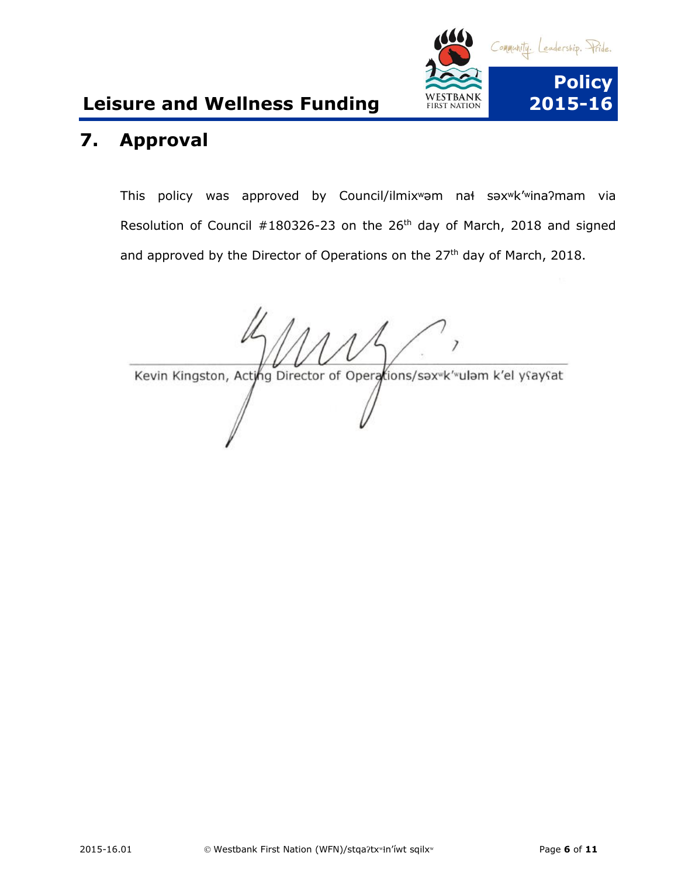

## **7. Approval**

This policy was approved by Council/ilmixʷəm naɬ səxʷk'ʷinaʔmam via Resolution of Council #180326-23 on the 26<sup>th</sup> day of March, 2018 and signed and approved by the Director of Operations on the 27<sup>th</sup> day of March, 2018.

<span id="page-5-0"></span>Kevin Kingston, Acting Director of Operations/sax K' ulam k'el ysaysat  $\mathcal{U}$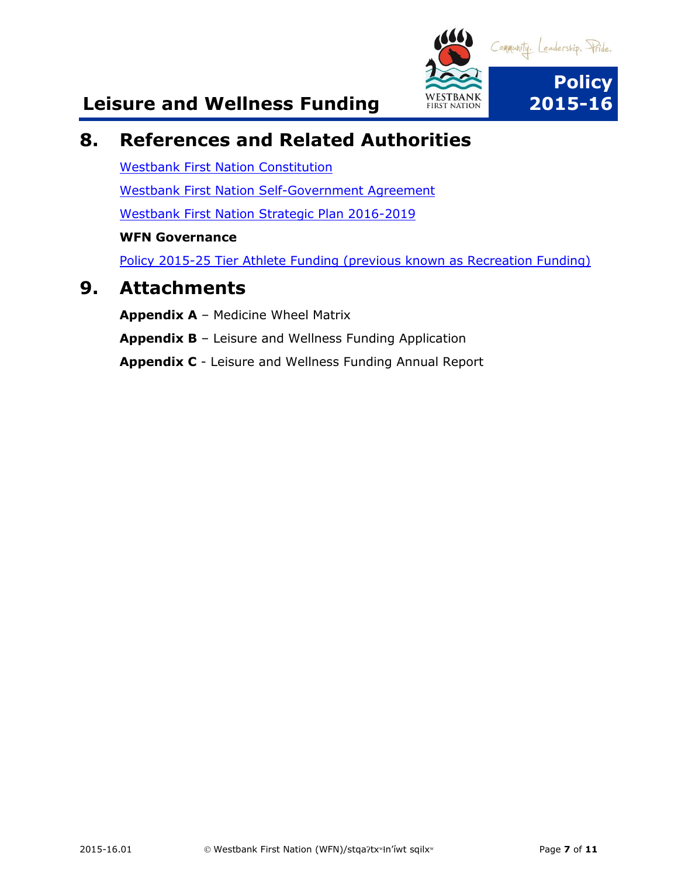

## **8. References and Related Authorities**

[Westbank First Nation Constitution](https://www.wfn.ca/docs/wfn-constitution.pdf) [Westbank First Nation Self-Government Agreement](https://www.aadnc-aandc.gc.ca/eng/1100100031766/1100100031768) [Westbank First Nation Strategic Plan 2016-2019](https://www.wfn.ca/docs/wfn-strategic-plan-2016-2019.pdf) **WFN Governance** [Policy 2015-25 Tier Athlete Funding \(previous known as Recreation Funding\)](file://///wfnfox/public/Governance%20Instruments/Executed%20Governance%20Instruments/Community%20Services/Membership%20Services)

### **9. Attachments**

<span id="page-6-0"></span>**Appendix A** – Medicine Wheel Matrix **Appendix B** – Leisure and Wellness Funding Application **Appendix C** - Leisure and Wellness Funding Annual Report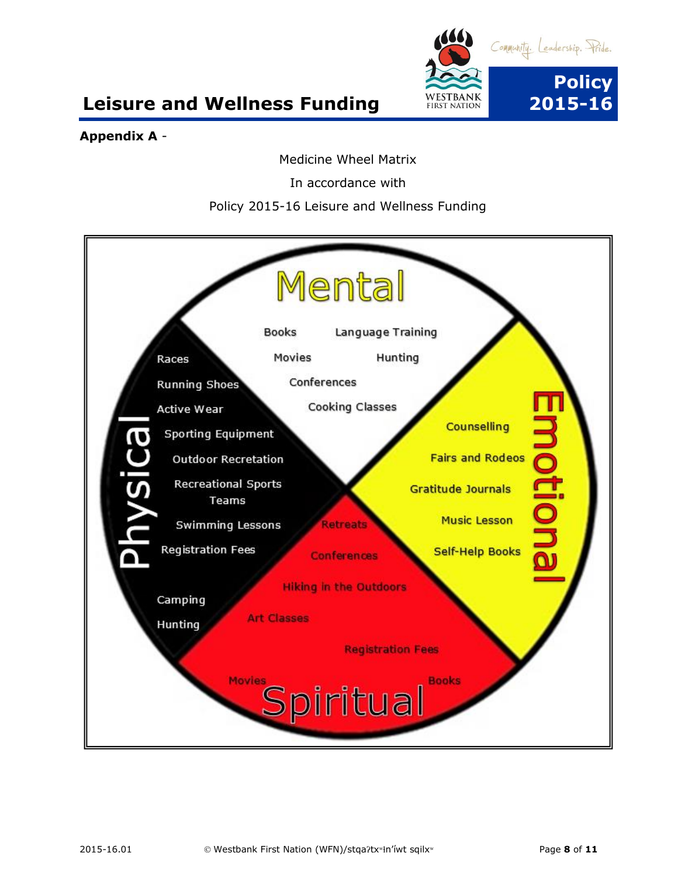

#### **Appendix A** -

Medicine Wheel Matrix

In accordance with

#### Policy 2015-16 Leisure and Wellness Funding

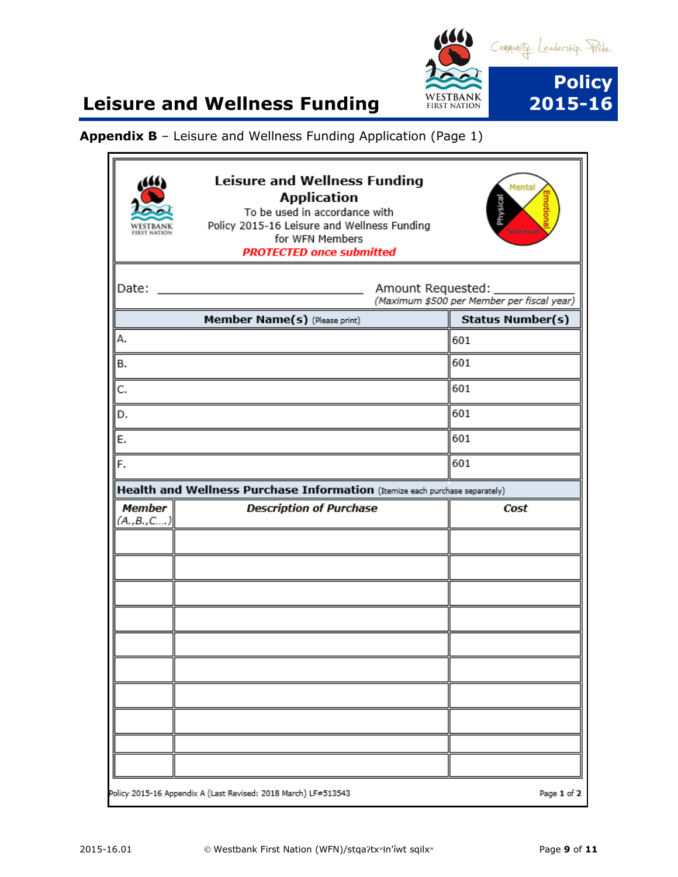

#### **Appendix B** – Leisure and Wellness Funding Application (Page 1)

|                     | <b>Leisure and Wellness Funding</b><br><b>Application</b><br>To be used in accordance with<br>Policy 2015-16 Leisure and Wellness Funding<br>for WFN Members<br><b>PROTECTED once submitted</b> | Mental<br>hysical<br>ipiritua              |
|---------------------|-------------------------------------------------------------------------------------------------------------------------------------------------------------------------------------------------|--------------------------------------------|
| Date:               | Amount Requested:<br><u> 1990 - Johann Barbara, martxa al</u>                                                                                                                                   | (Maximum \$500 per Member per fiscal year) |
|                     | Member Name(s) (Please print)                                                                                                                                                                   | <b>Status Number(s)</b>                    |
| А.                  |                                                                                                                                                                                                 | 601                                        |
| в.                  |                                                                                                                                                                                                 | 601                                        |
| C.                  |                                                                                                                                                                                                 | 601                                        |
| D.                  |                                                                                                                                                                                                 | 601                                        |
| E.                  |                                                                                                                                                                                                 | 601                                        |
| F.                  |                                                                                                                                                                                                 | 601                                        |
|                     | Health and Wellness Purchase Information (Itemize each purchase separately)                                                                                                                     |                                            |
| Member<br>(A.,B.,C) | <b>Description of Purchase</b>                                                                                                                                                                  | Cost                                       |
|                     |                                                                                                                                                                                                 |                                            |
|                     |                                                                                                                                                                                                 |                                            |
|                     |                                                                                                                                                                                                 |                                            |
|                     |                                                                                                                                                                                                 |                                            |
|                     |                                                                                                                                                                                                 |                                            |
|                     |                                                                                                                                                                                                 |                                            |
|                     |                                                                                                                                                                                                 |                                            |
|                     |                                                                                                                                                                                                 |                                            |
|                     |                                                                                                                                                                                                 |                                            |
|                     |                                                                                                                                                                                                 |                                            |
|                     |                                                                                                                                                                                                 |                                            |
|                     |                                                                                                                                                                                                 |                                            |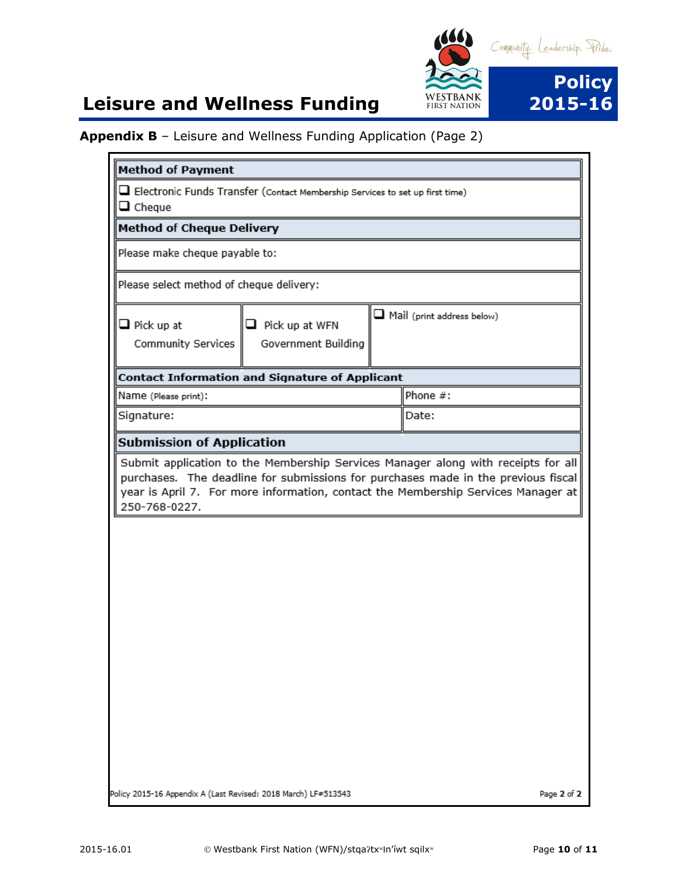

#### **Appendix B** – Leisure and Wellness Funding Application (Page 2)

| <b>Method of Payment</b>                                       |                                                                                                                                                                        |                                   |             |
|----------------------------------------------------------------|------------------------------------------------------------------------------------------------------------------------------------------------------------------------|-----------------------------------|-------------|
| $\Box$ Cheque                                                  | Electronic Funds Transfer (Contact Membership Services to set up first time)                                                                                           |                                   |             |
| <b>Method of Cheque Delivery</b>                               |                                                                                                                                                                        |                                   |             |
| Please make cheque payable to:                                 |                                                                                                                                                                        |                                   |             |
| Please select method of cheque delivery:                       |                                                                                                                                                                        |                                   |             |
| $\Box$ Pick up at<br>Community Services                        | $\Box$ Pick up at WFN<br>Government Building                                                                                                                           | $\Box$ Mail (print address below) |             |
|                                                                | <b>Contact Information and Signature of Applicant</b>                                                                                                                  |                                   |             |
| Name (Please print):                                           |                                                                                                                                                                        | Phone #:                          |             |
| Signature:                                                     |                                                                                                                                                                        | Date:                             |             |
| <b>Submission of Application</b>                               |                                                                                                                                                                        |                                   |             |
| 250-768-0227.                                                  | purchases. The deadline for submissions for purchases made in the previous fiscal<br>year is April 7. For more information, contact the Membership Services Manager at |                                   |             |
|                                                                |                                                                                                                                                                        |                                   |             |
|                                                                |                                                                                                                                                                        |                                   |             |
|                                                                |                                                                                                                                                                        |                                   |             |
|                                                                |                                                                                                                                                                        |                                   |             |
|                                                                |                                                                                                                                                                        |                                   |             |
|                                                                |                                                                                                                                                                        |                                   |             |
|                                                                |                                                                                                                                                                        |                                   |             |
|                                                                |                                                                                                                                                                        |                                   |             |
|                                                                |                                                                                                                                                                        |                                   |             |
|                                                                |                                                                                                                                                                        |                                   |             |
| Policy 2015-16 Appendix A (Last Revised: 2018 March) LF#513543 |                                                                                                                                                                        |                                   | Page 2 of 2 |